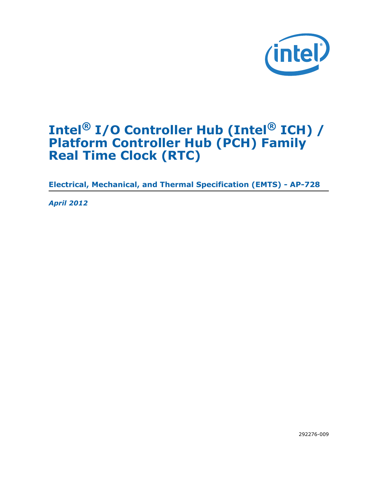

# **Intel® I/O Controller Hub (Intel® ICH) / Platform Controller Hub (PCH) Family Real Time Clock (RTC)**

**Electrical, Mechanical, and Thermal Specification (EMTS) - AP-728**

*April 2012*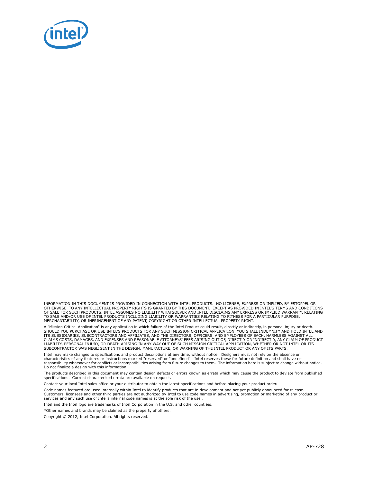

INFORMATION IN THIS DOCUMENT IS PROVIDED IN CONNECTION WITH INTEL PRODUCTS. NO LICENSE, EXPRESS OR IMPLIED, BY ESTOPPEL OR<br>OTHERWISE, TO ANY INTELLECTUAL PROPERTY RIGHTS IS GRANTED BY THIS DOCUMENT. EXCEPT AS PROVIDED IN I OF SALE FOR SUCH PRODUCTS, INTEL ASSUMES NO LIABILITY WHATSOEVER AND INTEL DISCLAIMS ANY EXPRESS OR IMPLIED WARRANTY, RELATING TO SALE AND/OR USE OF INTEL PRODUCTS INCLUDING LIABILITY OR WARRANTIES RELATING TO FITNESS FOR A PARTICULAR PURPOSE, MERCHANTABILITY, OR INFRINGEMENT OF ANY PATENT, COPYRIGHT OR OTHER INTELLECTUAL PROPERTY RIGHT.

A "Mission Critical Application" is any application in which failure of the Intel Product could result, directly or indirectly, in personal injury or death.<br>SHOULD YOU PURCHASE OR USE INTEL'S PRODUCTS FOR ANY SUCH MISSION LIABILITY, PERSONAL INJURY, OR DEATH ARISING IN ANY WAY OUT OF SUCH MISSION CRITICAL APPLICATION, WHETHER OR NOT INTEL OR ITS<br>SUBCONTRACTOR WAS NEGLIGENT IN THE DESIGN, MANUFACTURE, OR WARNING OF THE INTEL PRODUCT OR ANY O

Intel may make changes to specifications and product descriptions at any time, without notice. Designers must not rely on the absence or<br>characteristics of any features or instructions marked "reserved" or "undefined". Int responsibility whatsoever for conflicts or incompatibilities arising from future changes to them. The information here is subject to change without notice. Do not finalize a design with this information.

The products described in this document may contain design defects or errors known as errata which may cause the product to deviate from published specifications. Current characterized errata are available on request.

Contact your local Intel sales office or your distributor to obtain the latest specifications and before placing your product order.

Code names featured are used internally within Intel to identify products that are in development and not yet publicly announced for release. Customers, licensees and other third parties are not authorized by Intel to use code names in advertising, promotion or marketing of any product or services and any such use of Intel's internal code names is at the sole risk of the user.

Intel and the Intel logo are trademarks of Intel Corporation in the U.S. and other countries.

\*Other names and brands may be claimed as the property of others.

Copyright © 2012, Intel Corporation. All rights reserved.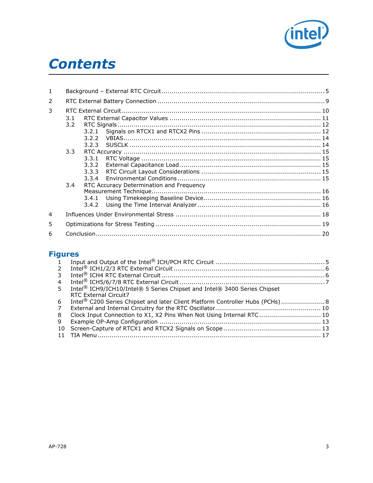

# *Contents*

| 1              |     |       |                                          |  |  |  |
|----------------|-----|-------|------------------------------------------|--|--|--|
| $\mathcal{P}$  |     |       |                                          |  |  |  |
| 3              |     |       |                                          |  |  |  |
|                | 3.1 |       |                                          |  |  |  |
|                | 3.2 |       |                                          |  |  |  |
|                |     |       |                                          |  |  |  |
|                |     | 3.2.2 |                                          |  |  |  |
|                |     | 3.2.3 |                                          |  |  |  |
|                | 3.3 |       |                                          |  |  |  |
|                |     | 3.3.1 |                                          |  |  |  |
|                |     | 3.3.2 |                                          |  |  |  |
|                |     | 3.3.3 |                                          |  |  |  |
|                |     | 3.3.4 |                                          |  |  |  |
|                | 3.4 |       | RTC Accuracy Determination and Frequency |  |  |  |
|                |     |       |                                          |  |  |  |
|                |     | 3.4.1 |                                          |  |  |  |
|                |     | 3.4.2 |                                          |  |  |  |
| $\overline{4}$ |     |       |                                          |  |  |  |
| 5              |     |       |                                          |  |  |  |
| 6              |     |       |                                          |  |  |  |
|                |     |       |                                          |  |  |  |

### **Figures**

| $\overline{4}$ |                                                                                      |  |
|----------------|--------------------------------------------------------------------------------------|--|
| 5.             | Intel <sup>®</sup> ICH9/ICH10/Intel® 5 Series Chipset and Intel® 3400 Series Chipset |  |
|                | <b>RTC External Circuit7</b>                                                         |  |
| 6              | Intel® C200 Series Chipset and later Client Platform Controller Hubs (PCHs) 8        |  |
| 7              |                                                                                      |  |
| 8              | Clock Input Connection to X1, X2 Pins When Not Using Internal RTC 10                 |  |
| 9              |                                                                                      |  |
| 10             |                                                                                      |  |
|                |                                                                                      |  |
|                |                                                                                      |  |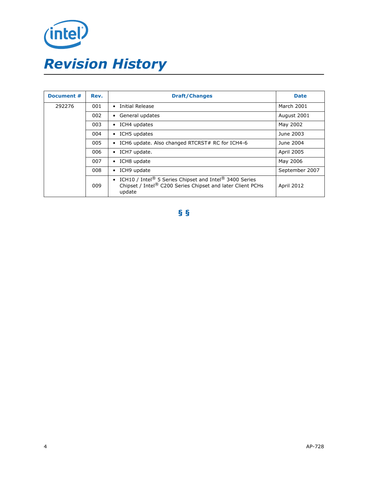

| Document # | Rev. | <b>Draft/Changes</b>                                                                                                                                                 | <b>Date</b>    |
|------------|------|----------------------------------------------------------------------------------------------------------------------------------------------------------------------|----------------|
| 292276     | 001  | • Initial Release                                                                                                                                                    | March 2001     |
|            | 002  | General updates<br>$\bullet$                                                                                                                                         | August 2001    |
|            | 003  | • ICH4 updates                                                                                                                                                       | May 2002       |
|            | 004  | • ICH5 updates                                                                                                                                                       | June 2003      |
|            | 005  | • ICH6 update. Also changed RTCRST# RC for ICH4-6                                                                                                                    | June 2004      |
|            | 006  | • ICH7 update.                                                                                                                                                       | April 2005     |
|            | 007  | • ICH8 update                                                                                                                                                        | May 2006       |
|            | 008  | ICH9 update<br>$\bullet$                                                                                                                                             | September 2007 |
|            | 009  | • ICH10 / Intel <sup>®</sup> 5 Series Chipset and Intel <sup>®</sup> 3400 Series<br>Chipset / Intel <sup>®</sup> C200 Series Chipset and later Client PCHs<br>update | April 2012     |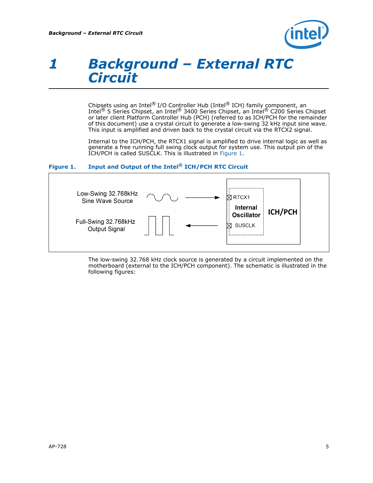

# <span id="page-4-0"></span>*1 Background – External RTC Circuit*

Chipsets using an Intel<sup>®</sup> I/O Controller Hub (Intel<sup>®</sup> ICH) family component, an Intel<sup>®</sup> 5 Series Chipset, an Intel<sup>®</sup> 3400 Series Chipset, an Intel<sup>®</sup> C200 Series Chipset or later client Platform Controller Hub (PCH) (referred to as ICH/PCH for the remainder of this document) use a crystal circuit to generate a low-swing 32 kHz input sine wave. This input is amplified and driven back to the crystal circuit via the RTCX2 signal.

Internal to the ICH/PCH, the RTCX1 signal is amplified to drive internal logic as well as generate a free running full swing clock output for system use. This output pin of the ICH/PCH is called SUSCLK. This is illustrated in [Figure 1.](#page-4-1)

#### <span id="page-4-1"></span>**Figure 1. Input and Output of the Intel® ICH/PCH RTC Circuit**



The low-swing 32.768 kHz clock source is generated by a circuit implemented on the motherboard (external to the ICH/PCH component). The schematic is illustrated in the following figures: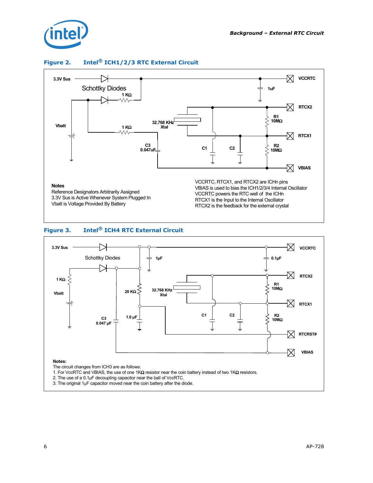

#### <span id="page-5-0"></span>**Figure 2. Intel® ICH1/2/3 RTC External Circuit**



#### <span id="page-5-1"></span>**Figure 3. Intel® ICH4 RTC External Circuit**



3. The original  $1\mu$ F capacitor moved near the coin battery after the diode.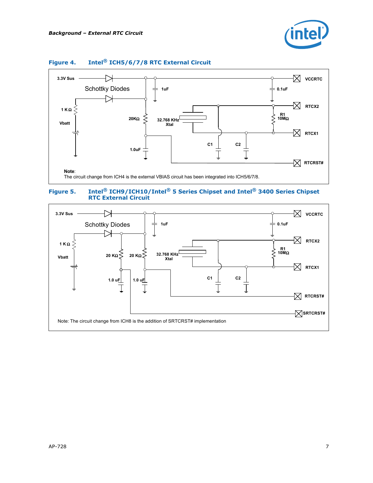



#### <span id="page-6-0"></span>**Figure 4. Intel® ICH5/6/7/8 RTC External Circuit**

<span id="page-6-1"></span>

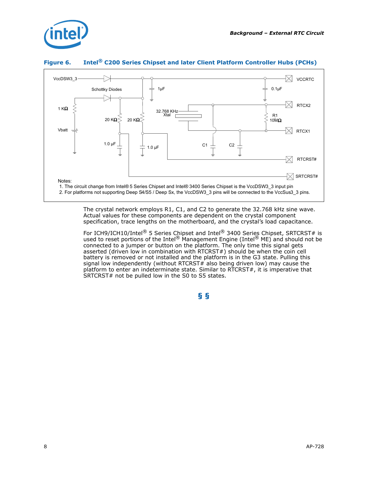

<span id="page-7-0"></span>



The crystal network employs R1, C1, and C2 to generate the 32.768 kHz sine wave. Actual values for these components are dependent on the crystal component specification, trace lengths on the motherboard, and the crystal's load capacitance.

For ICH9/ICH10/Intel® 5 Series Chipset and Intel® 3400 Series Chipset, SRTCRST# is used to reset portions of the Intel<sup>®</sup> Management Engine (Intel<sup>®</sup> ME) and should not be connected to a jumper or button on the platform. The only time this signal gets asserted (driven low in combination with RTCRST#) should be when the coin cell battery is removed or not installed and the platform is in the G3 state. Pulling this signal low independently (without RTCRST# also being driven low) may cause the platform to enter an indeterminate state. Similar to RTCRST#, it is imperative that SRTCRST# not be pulled low in the S0 to S5 states.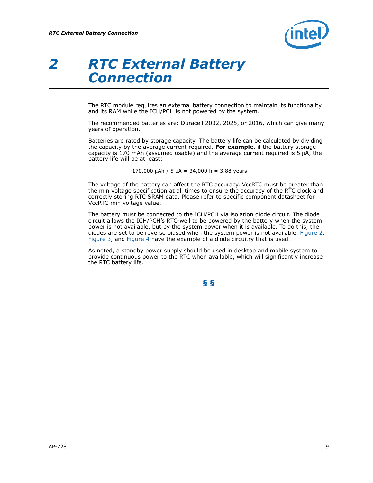

# <span id="page-8-0"></span>*2 RTC External Battery Connection*

The RTC module requires an external battery connection to maintain its functionality and its RAM while the ICH/PCH is not powered by the system.

The recommended batteries are: Duracell 2032, 2025, or 2016, which can give many years of operation.

Batteries are rated by storage capacity. The battery life can be calculated by dividing the capacity by the average current required. **For example**, if the battery storage capacity is 170 mAh (assumed usable) and the average current required is 5  $\mu$ A, the battery life will be at least:

170,000  $\mu$ Ah / 5  $\mu$ A = 34,000 h = 3.88 years.

The voltage of the battery can affect the RTC accuracy. VccRTC must be greater than the min voltage specification at all times to ensure the accuracy of the RTC clock and correctly storing RTC SRAM data. Please refer to specific component datasheet for VccRTC min voltage value.

The battery must be connected to the ICH/PCH via isolation diode circuit. The diode circuit allows the ICH/PCH's RTC-well to be powered by the battery when the system power is not available, but by the system power when it is available. To do this, the diodes are set to be reverse biased when the system power is not available. [Figure 2,](#page-5-0) [Figure 3,](#page-5-1) and [Figure 4](#page-6-0) have the example of a diode circuitry that is used.

As noted, a standby power supply should be used in desktop and mobile system to provide continuous power to the RTC when available, which will significantly increase the RTC battery life.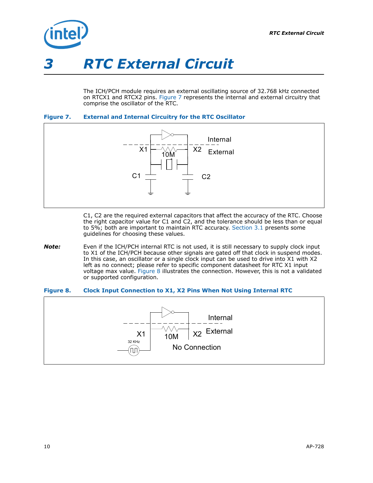<span id="page-9-0"></span>

The ICH/PCH module requires an external oscillating source of 32.768 kHz connected on RTCX1 and RTCX2 pins. [Figure 7](#page-9-1) represents the internal and external circuitry that comprise the oscillator of the RTC.

#### <span id="page-9-1"></span>**Figure 7. External and Internal Circuitry for the RTC Oscillator**



C1, C2 are the required external capacitors that affect the accuracy of the RTC. Choose the right capacitor value for C1 and C2, and the tolerance should be less than or equal to 5%; both are important to maintain RTC accuracy. [Section 3.1](#page-10-0) presents some guidelines for choosing these values.

**Note:** Even if the ICH/PCH internal RTC is not used, it is still necessary to supply clock input to X1 of the ICH/PCH because other signals are gated off that clock in suspend modes. In this case, an oscillator or a single clock input can be used to drive into X1 with X2 left as no connect; please refer to specific component datasheet for RTC X1 input voltage max value. [Figure](#page-9-2) 8 illustrates the connection. However, this is not a validated or supported configuration.

#### <span id="page-9-2"></span>**Figure 8. Clock Input Connection to X1, X2 Pins When Not Using Internal RTC**

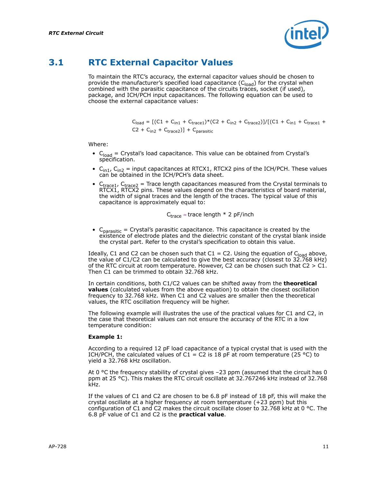

## <span id="page-10-0"></span>**3.1 RTC External Capacitor Values**

To maintain the RTC's accuracy, the external capacitor values should be chosen to provide the manufacturer's specified load capacitance  $(C_{load})$  for the crystal when combined with the parasitic capacitance of the circuits traces, socket (if used), package, and ICH/PCH input capacitances. The following equation can be used to choose the external capacitance values:

> $C_{load} = [(C1 + C_{in1} + C_{trace1})*(C2 + C_{in2} + C_{trace2})]/[(C1 + C_{in1} + C_{trace1} + C_{trace1})]$  $C2 + C<sub>in2</sub> + C<sub>trace2</sub>$ ] +  $C<sub>parasitic</sub>$

#### Where:

- $C<sub>load</sub> = Crystal's load capacitance. This value can be obtained from Crystal's$ specification.
- $C_{in1}$ ,  $C_{in2}$  = input capacitances at RTCX1, RTCX2 pins of the ICH/PCH. These values can be obtained in the ICH/PCH's data sheet.
- $C<sub>trace1</sub>$ ,  $C<sub>trace2</sub>$  = Trace length capacitances measured from the Crystal terminals to RTCX1, RTCX2 pins. These values depend on the characteristics of board material, the width of signal traces and the length of the traces. The typical value of this capacitance is approximately equal to:

$$
C_{\text{trace}} \approx \text{trace length} * 2 \text{ pF/inch}
$$

 $C_{\text{parasitic}} = C$ rystal's parasitic capacitance. This capacitance is created by the existence of electrode plates and the dielectric constant of the crystal blank inside the crystal part. Refer to the crystal's specification to obtain this value.

Ideally, C1 and C2 can be chosen such that C1 = C2. Using the equation of  $C_{load}$  above, the value of C1/C2 can be calculated to give the best accuracy (closest to  $32.768$  kHz) of the RTC circuit at room temperature. However, C2 can be chosen such that  $C2 > C1$ . Then C1 can be trimmed to obtain 32.768 kHz.

In certain conditions, both C1/C2 values can be shifted away from the **theoretical values** (calculated values from the above equation) to obtain the closest oscillation frequency to 32.768 kHz. When C1 and C2 values are smaller then the theoretical values, the RTC oscillation frequency will be higher.

The following example will illustrates the use of the practical values for C1 and C2, in the case that theoretical values can not ensure the accuracy of the RTC in a low temperature condition:

#### **Example 1:**

According to a required 12 pF load capacitance of a typical crystal that is used with the ICH/PCH, the calculated values of C1 = C2 is 18 pF at room temperature (25 °C) to yield a 32.768 kHz oscillation.

At 0 °C the frequency stability of crystal gives  $-23$  ppm (assumed that the circuit has 0 ppm at 25 °C). This makes the RTC circuit oscillate at 32.767246 kHz instead of 32.768 kHz.

If the values of C1 and C2 are chosen to be 6.8 pF instead of 18 pF, this will make the crystal oscillate at a higher frequency at room temperature (+23 ppm) but this configuration of C1 and C2 makes the circuit oscillate closer to 32.768 kHz at 0 °C. The 6.8 pF value of C1 and C2 is the **practical value**.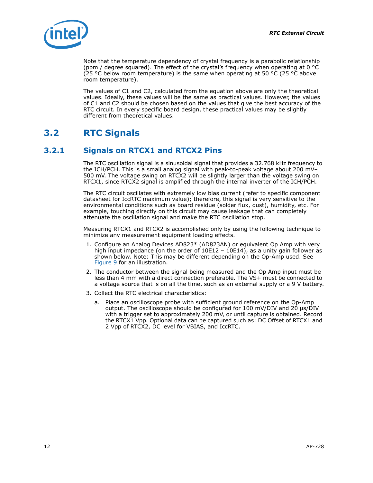

Note that the temperature dependency of crystal frequency is a parabolic relationship (ppm / degree squared). The effect of the crystal's frequency when operating at 0  $^{\circ}$ C (25 °C below room temperature) is the same when operating at 50 °C (25 °C above room temperature).

The values of C1 and C2, calculated from the equation above are only the theoretical values. Ideally, these values will be the same as practical values. However, the values of C1 and C2 should be chosen based on the values that give the best accuracy of the RTC circuit. In every specific board design, these practical values may be slightly different from theoretical values.

## <span id="page-11-0"></span>**3.2 RTC Signals**

### <span id="page-11-1"></span>**3.2.1 Signals on RTCX1 and RTCX2 Pins**

The RTC oscillation signal is a sinusoidal signal that provides a 32.768 kHz frequency to the ICH/PCH. This is a small analog signal with peak-to-peak voltage about 200 mV– 500 mV. The voltage swing on RTCX2 will be slightly larger than the voltage swing on RTCX1, since RTCX2 signal is amplified through the internal inverter of the ICH/PCH.

The RTC circuit oscillates with extremely low bias current (refer to specific component datasheet for IccRTC maximum value); therefore, this signal is very sensitive to the environmental conditions such as board residue (solder flux, dust), humidity, etc. For example, touching directly on this circuit may cause leakage that can completely attenuate the oscillation signal and make the RTC oscillation stop.

Measuring RTCX1 and RTCX2 is accomplished only by using the following technique to minimize any measurement equipment loading effects.

- 1. Configure an Analog Devices AD823\* (AD823AN) or equivalent Op Amp with very high input impedance (on the order of 10E12 – 10E14), as a unity gain follower as shown below. Note: This may be different depending on the Op-Amp used. See [Figure](#page-12-0) 9 for an illustration.
- 2. The conductor between the signal being measured and the Op Amp input must be less than 4 mm with a direct connection preferable. The VS+ must be connected to a voltage source that is on all the time, such as an external supply or a 9 V battery.
- 3. Collect the RTC electrical characteristics:
	- a. Place an oscilloscope probe with sufficient ground reference on the Op-Amp output. The oscilloscope should be configured for 100 mV/DIV and 20 µs/DIV with a trigger set to approximately 200 mV, or until capture is obtained. Record the RTCX1 Vpp. Optional data can be captured such as: DC Offset of RTCX1 and 2 Vpp of RTCX2, DC level for VBIAS, and IccRTC.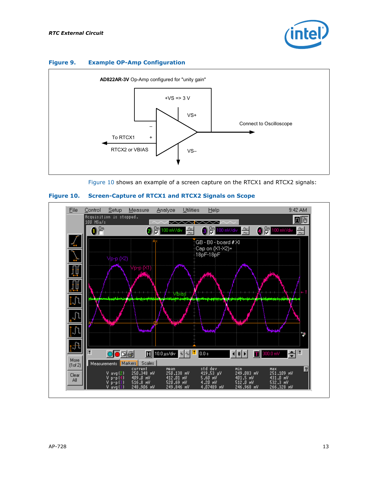

<span id="page-12-0"></span>





<span id="page-12-1"></span>

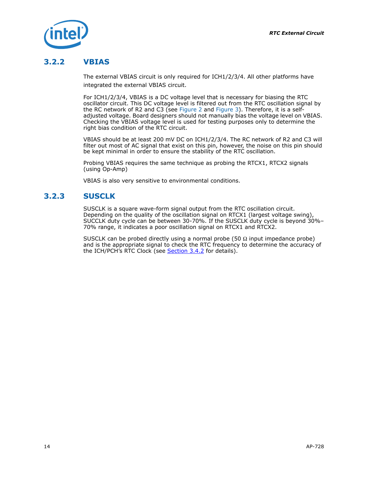

### <span id="page-13-0"></span>**3.2.2 VBIAS**

The external VBIAS circuit is only required for ICH1/2/3/4. All other platforms have integrated the external VBIAS circuit.

For ICH1/2/3/4, VBIAS is a DC voltage level that is necessary for biasing the RTC oscillator circuit. This DC voltage level is filtered out from the RTC oscillation signal by the RC network of R2 and C3 (see [Figure 2](#page-5-0) and [Figure 3\)](#page-5-1). Therefore, it is a selfadjusted voltage. Board designers should not manually bias the voltage level on VBIAS. Checking the VBIAS voltage level is used for testing purposes only to determine the right bias condition of the RTC circuit.

VBIAS should be at least 200 mV DC on ICH1/2/3/4. The RC network of R2 and C3 will filter out most of AC signal that exist on this pin, however, the noise on this pin should be kept minimal in order to ensure the stability of the RTC oscillation.

Probing VBIAS requires the same technique as probing the RTCX1, RTCX2 signals (using Op-Amp)

VBIAS is also very sensitive to environmental conditions.

#### <span id="page-13-1"></span>**3.2.3 SUSCLK**

SUSCLK is a square wave-form signal output from the RTC oscillation circuit. Depending on the quality of the oscillation signal on RTCX1 (largest voltage swing), SUCCLK duty cycle can be between 30-70%. If the SUSCLK duty cycle is beyond 30%– 70% range, it indicates a poor oscillation signal on RTCX1 and RTCX2.

SUSCLK can be probed directly using a normal probe (50  $\Omega$  input impedance probe) and is the appropriate signal to check the RTC frequency to determine the accuracy of the ICH/PCH's RTC Clock (see Section 3.4.2 for details).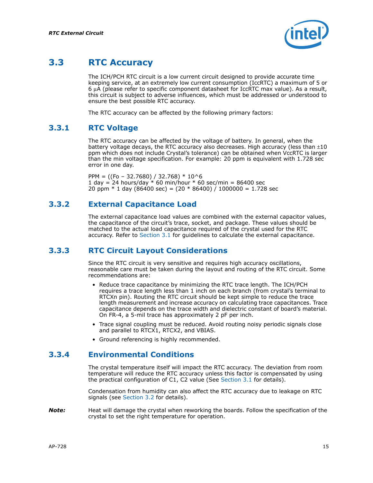

# <span id="page-14-0"></span>**3.3 RTC Accuracy**

The ICH/PCH RTC circuit is a low current circuit designed to provide accurate time keeping service, at an extremely low current consumption (IccRTC) a maximum of 5 or 6 μA (please refer to specific component datasheet for IccRTC max value). As a result, this circuit is subject to adverse influences, which must be addressed or understood to ensure the best possible RTC accuracy.

The RTC accuracy can be affected by the following primary factors:

#### <span id="page-14-1"></span>**3.3.1 RTC Voltage**

The RTC accuracy can be affected by the voltage of battery. In general, when the battery voltage decays, the RTC accuracy also decreases. High accuracy (less than  $\pm 10$ ppm which does not include Crystal's tolerance) can be obtained when VccRTC is larger than the min voltage specification. For example: 20 ppm is equivalent with 1.728 sec error in one day.

PPM =  $((Fo - 32.7680) / 32.768) * 10^{6}$ 1 day = 24 hours/day  $*$  60 min/hour  $*$  60 sec/min = 86400 sec 20 ppm  $*$  1 day (86400 sec) = (20  $*$  86400) / 1000000 = 1.728 sec

### <span id="page-14-2"></span>**3.3.2 External Capacitance Load**

The external capacitance load values are combined with the external capacitor values, the capacitance of the circuit's trace, socket, and package. These values should be matched to the actual load capacitance required of the crystal used for the RTC accuracy. Refer to [Section 3.1](#page-10-0) for guidelines to calculate the external capacitance.

#### <span id="page-14-3"></span>**3.3.3 RTC Circuit Layout Considerations**

Since the RTC circuit is very sensitive and requires high accuracy oscillations, reasonable care must be taken during the layout and routing of the RTC circuit. Some recommendations are:

- Reduce trace capacitance by minimizing the RTC trace length. The ICH/PCH requires a trace length less than 1 inch on each branch (from crystal's terminal to RTCXn pin). Routing the RTC circuit should be kept simple to reduce the trace length measurement and increase accuracy on calculating trace capacitances. Trace capacitance depends on the trace width and dielectric constant of board's material. On FR-4, a 5-mil trace has approximately 2 pF per inch.
- Trace signal coupling must be reduced. Avoid routing noisy periodic signals close and parallel to RTCX1, RTCX2, and VBIAS.
- Ground referencing is highly recommended.

#### <span id="page-14-4"></span>**3.3.4 Environmental Conditions**

The crystal temperature itself will impact the RTC accuracy. The deviation from room temperature will reduce the RTC accuracy unless this factor is compensated by using the practical configuration of C1, C2 value (See [Section 3.1](#page-10-0) for details).

Condensation from humidity can also affect the RTC accuracy due to leakage on RTC signals (see [Section 3.2](#page-11-0) for details).

*Note:* Heat will damage the crystal when reworking the boards. Follow the specification of the crystal to set the right temperature for operation.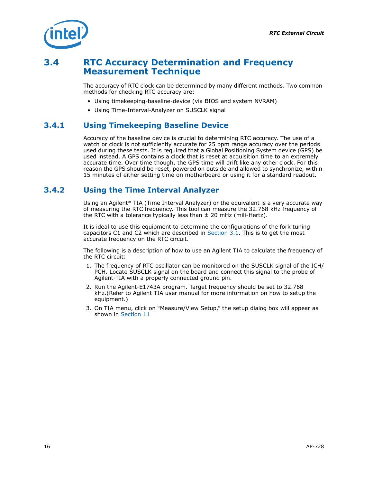

### <span id="page-15-0"></span>**3.4 RTC Accuracy Determination and Frequency Measurement Technique**

The accuracy of RTC clock can be determined by many different methods. Two common methods for checking RTC accuracy are:

- Using timekeeping-baseline-device (via BIOS and system NVRAM)
- Using Time-Interval-Analyzer on SUSCLK signal

### <span id="page-15-1"></span>**3.4.1 Using Timekeeping Baseline Device**

Accuracy of the baseline device is crucial to determining RTC accuracy. The use of a watch or clock is not sufficiently accurate for 25 ppm range accuracy over the periods used during these tests. It is required that a Global Positioning System device (GPS) be used instead. A GPS contains a clock that is reset at acquisition time to an extremely accurate time. Over time though, the GPS time will drift like any other clock. For this reason the GPS should be reset, powered on outside and allowed to synchronize, within 15 minutes of either setting time on motherboard or using it for a standard readout.

### <span id="page-15-2"></span>**3.4.2 Using the Time Interval Analyzer**

Using an Agilent\* TIA (Time Interval Analyzer) or the equivalent is a very accurate way of measuring the RTC frequency. This tool can measure the 32.768 kHz frequency of the RTC with a tolerance typically less than  $\pm$  20 mHz (mili-Hertz).

It is ideal to use this equipment to determine the configurations of the fork tuning capacitors C1 and C2 which are described in [Section 3.1.](#page-10-0) This is to get the most accurate frequency on the RTC circuit.

The following is a description of how to use an Agilent TIA to calculate the frequency of the RTC circuit:

- 1. The frequency of RTC oscillator can be monitored on the SUSCLK signal of the ICH/ PCH. Locate SUSCLK signal on the board and connect this signal to the probe of Agilent-TIA with a properly connected ground pin.
- 2. Run the Agilent-E1743A program. Target frequency should be set to 32.768 kHz.(Refer to Agilent TIA user manual for more information on how to setup the equipment.)
- 3. On TIA menu, click on "Measure/View Setup," the setup dialog box will appear as shown in [Section](#page-16-0) 11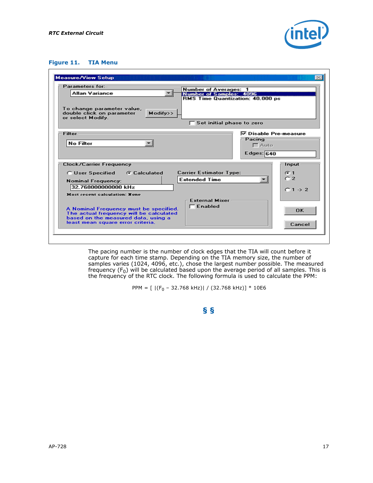

#### <span id="page-16-0"></span>**Figure 11. TIA Menu**

| Parameters for:<br>Allan Variance                                                                                                                             | Number of Averages: 1<br>Number of Samples: 4096 | <b>RMS Time Quantization: 40.000 ps</b>                             |
|---------------------------------------------------------------------------------------------------------------------------------------------------------------|--------------------------------------------------|---------------------------------------------------------------------|
| To change parameter value,<br>double click on parameter<br>or select Modify.                                                                                  | Modify>>                                         | Set initial phase to zero                                           |
| <b>Filter</b><br>No Filter                                                                                                                                    |                                                  | <b>☑ Disable Pre-measure</b><br>Pacing<br>$\Box$ Auto<br>Edges: 640 |
| <b>Clock/Carrier Frequency</b><br><b>C</b> User Specified<br>C Calculated                                                                                     | <b>Carrier Estimator Type:</b>                   | Input<br>G <sub>1</sub>                                             |
| <b>Nominal Frequency:</b><br>32.768000000000 kHz                                                                                                              | <b>Extended Time</b>                             | C2                                                                  |
| <b>Most recent calculation: None</b>                                                                                                                          |                                                  | $C1 \rightarrow 2$                                                  |
| A Nominal Frequency must be specified.<br>The actual frequency will be calculated<br>based on the measured data, using a<br>least mean square error criteria. | <b>External Mixer</b><br>$\Box$ Enabled          | <b>OK</b><br>Cancel                                                 |

The pacing number is the number of clock edges that the TIA will count before it capture for each time stamp. Depending on the TIA memory size, the number of samples varies (1024, 4096, etc.), chose the largest number possible. The measured frequency  $(F_0)$  will be calculated based upon the average period of all samples. This is the frequency of the RTC clock. The following formula is used to calculate the PPM:

PPM =  $[|(F_0 - 32.768 \text{ kHz})| / (32.768 \text{ kHz})] * 10E6$ 

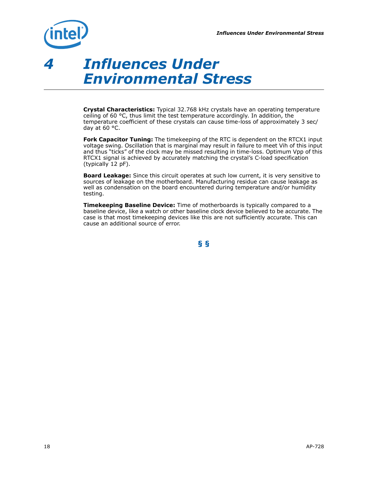

# <span id="page-17-0"></span>*4 Influences Under Environmental Stress*

**Crystal Characteristics:** Typical 32.768 kHz crystals have an operating temperature ceiling of 60 °C, thus limit the test temperature accordingly. In addition, the temperature coefficient of these crystals can cause time-loss of approximately 3 sec/ day at 60 °C.

**Fork Capacitor Tuning:** The timekeeping of the RTC is dependent on the RTCX1 input voltage swing. Oscillation that is marginal may result in failure to meet Vih of this input and thus "ticks" of the clock may be missed resulting in time-loss. Optimum Vpp of this RTCX1 signal is achieved by accurately matching the crystal's C-load specification (typically 12 pF).

**Board Leakage:** Since this circuit operates at such low current, it is very sensitive to sources of leakage on the motherboard. Manufacturing residue can cause leakage as well as condensation on the board encountered during temperature and/or humidity testing.

**Timekeeping Baseline Device:** Time of motherboards is typically compared to a baseline device, like a watch or other baseline clock device believed to be accurate. The case is that most timekeeping devices like this are not sufficiently accurate. This can cause an additional source of error.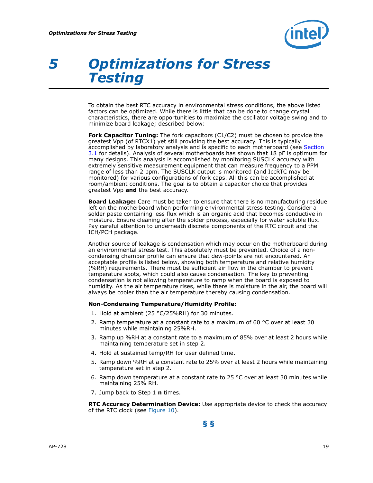

# <span id="page-18-0"></span>*5 Optimizations for Stress Testing*

To obtain the best RTC accuracy in environmental stress conditions, the above listed factors can be optimized. While there is little that can be done to change crystal characteristics, there are opportunities to maximize the oscillator voltage swing and to minimize board leakage; described below:

**Fork Capacitor Tuning:** The fork capacitors (C1/C2) must be chosen to provide the greatest Vpp (of  $RTCX1$ ) yet still providing the best accuracy. This is typically accomplished by laboratory analysis and is specific to each motherboard (see Section 3.1 for details). Analysis of several motherboards has shown that 18 pF is optimum for many designs. This analysis is accomplished by monitoring SUSCLK accuracy with extremely sensitive measurement equipment that can measure frequency to a PPM range of less than 2 ppm. The SUSCLK output is monitored (and IccRTC may be monitored) for various configurations of fork caps. All this can be accomplished at room/ambient conditions. The goal is to obtain a capacitor choice that provides greatest Vpp **and** the best accuracy.

**Board Leakage:** Care must be taken to ensure that there is no manufacturing residue left on the motherboard when performing environmental stress testing. Consider a solder paste containing less flux which is an organic acid that becomes conductive in moisture. Ensure cleaning after the solder process, especially for water soluble flux. Pay careful attention to underneath discrete components of the RTC circuit and the ICH/PCH package.

Another source of leakage is condensation which may occur on the motherboard during an environmental stress test. This absolutely must be prevented. Choice of a noncondensing chamber profile can ensure that dew-points are not encountered. An acceptable profile is listed below, showing both temperature and relative humidity (%RH) requirements. There must be sufficient air flow in the chamber to prevent temperature spots, which could also cause condensation. The key to preventing condensation is not allowing temperature to ramp when the board is exposed to humidity. As the air temperature rises, while there is moisture in the air, the board will always be cooler than the air temperature thereby causing condensation.

#### **Non-Condensing Temperature/Humidity Profile:**

- 1. Hold at ambient (25 °C/25%RH) for 30 minutes.
- 2. Ramp temperature at a constant rate to a maximum of 60  $^{\circ}$ C over at least 30 minutes while maintaining 25%RH.
- 3. Ramp up %RH at a constant rate to a maximum of 85% over at least 2 hours while maintaining temperature set in step 2.
- 4. Hold at sustained temp/RH for user defined time.
- 5. Ramp down %RH at a constant rate to 25% over at least 2 hours while maintaining temperature set in step 2.
- 6. Ramp down temperature at a constant rate to 25 °C over at least 30 minutes while maintaining 25% RH.
- 7. Jump back to Step 1 **n** times.

**RTC Accuracy Determination Device:** Use appropriate device to check the accuracy of the RTC clock (see [Figure 10](#page-12-1)).